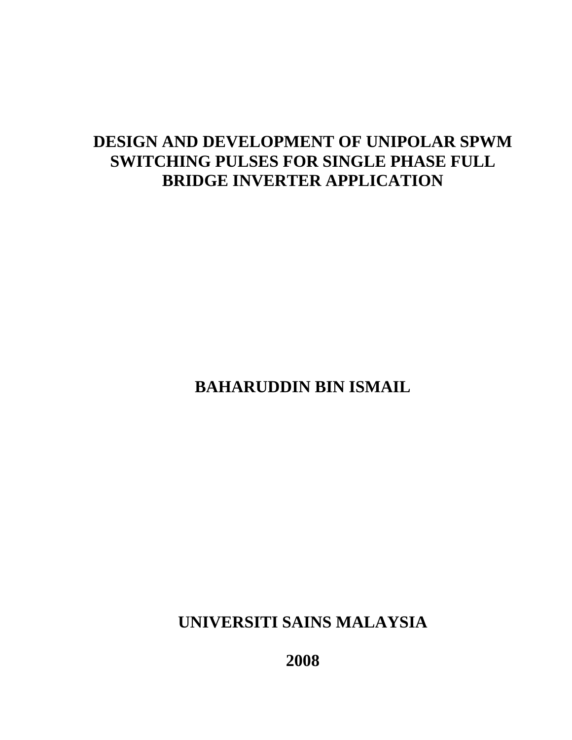# **DESIGN AND DEVELOPMENT OF UNIPOLAR SPWM SWITCHING PULSES FOR SINGLE PHASE FULL BRIDGE INVERTER APPLICATION**

**BAHARUDDIN BIN ISMAIL** 

**UNIVERSITI SAINS MALAYSIA** 

**2008**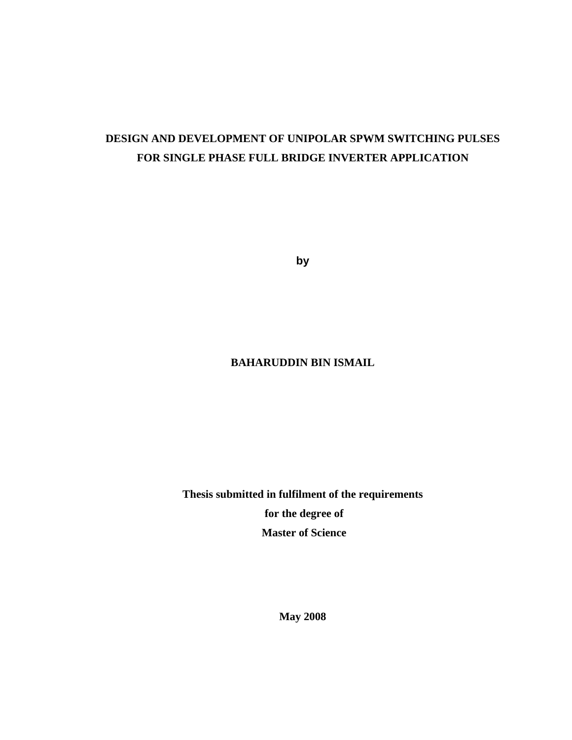# **DESIGN AND DEVELOPMENT OF UNIPOLAR SPWM SWITCHING PULSES FOR SINGLE PHASE FULL BRIDGE INVERTER APPLICATION**

**by** 

## **BAHARUDDIN BIN ISMAIL**

**Thesis submitted in fulfilment of the requirements for the degree of Master of Science** 

**May 2008**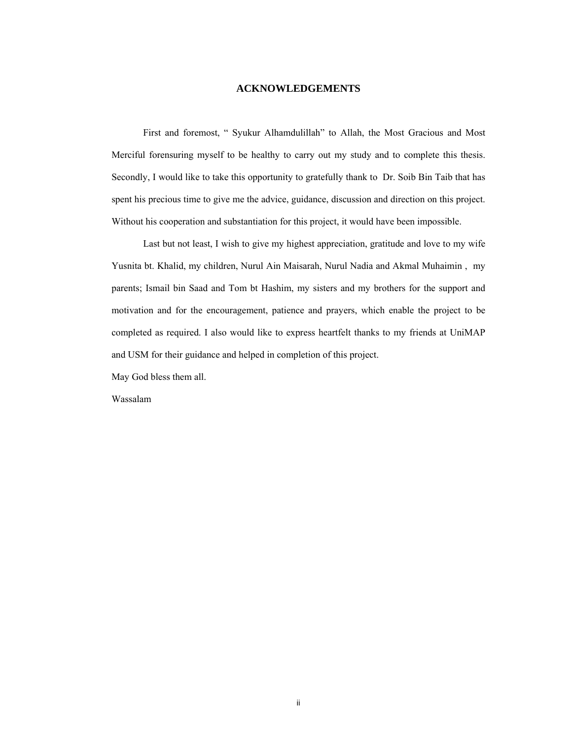#### **ACKNOWLEDGEMENTS**

First and foremost, " Syukur Alhamdulillah" to Allah, the Most Gracious and Most Merciful forensuring myself to be healthy to carry out my study and to complete this thesis. Secondly, I would like to take this opportunity to gratefully thank to Dr. Soib Bin Taib that has spent his precious time to give me the advice, guidance, discussion and direction on this project. Without his cooperation and substantiation for this project, it would have been impossible.

 Last but not least, I wish to give my highest appreciation, gratitude and love to my wife Yusnita bt. Khalid, my children, Nurul Ain Maisarah, Nurul Nadia and Akmal Muhaimin , my parents; Ismail bin Saad and Tom bt Hashim, my sisters and my brothers for the support and motivation and for the encouragement, patience and prayers, which enable the project to be completed as required. I also would like to express heartfelt thanks to my friends at UniMAP and USM for their guidance and helped in completion of this project.

May God bless them all.

Wassalam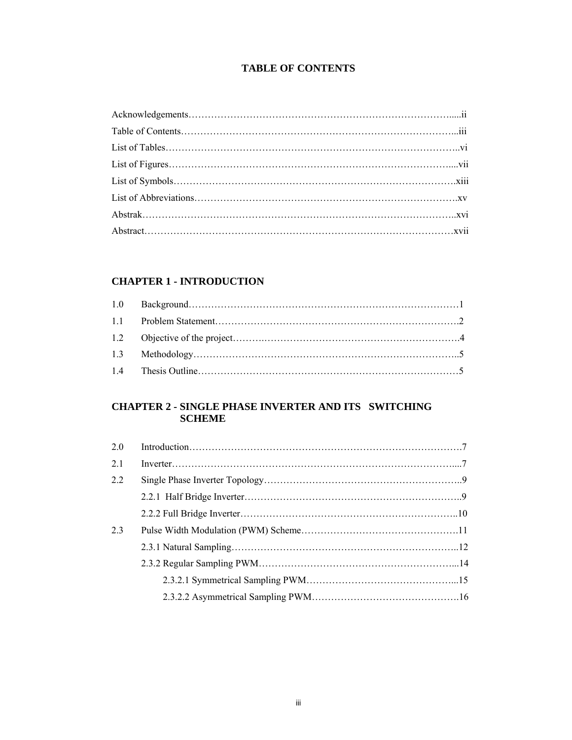## **TABLE OF CONTENTS**

## **CHAPTER 1 - INTRODUCTION**

## **CHAPTER 2 - SINGLE PHASE INVERTER AND ITS SWITCHING SCHEME**

| 2.0 |  |
|-----|--|
| 2.1 |  |
| 2.2 |  |
|     |  |
|     |  |
| 2.3 |  |
|     |  |
|     |  |
|     |  |
|     |  |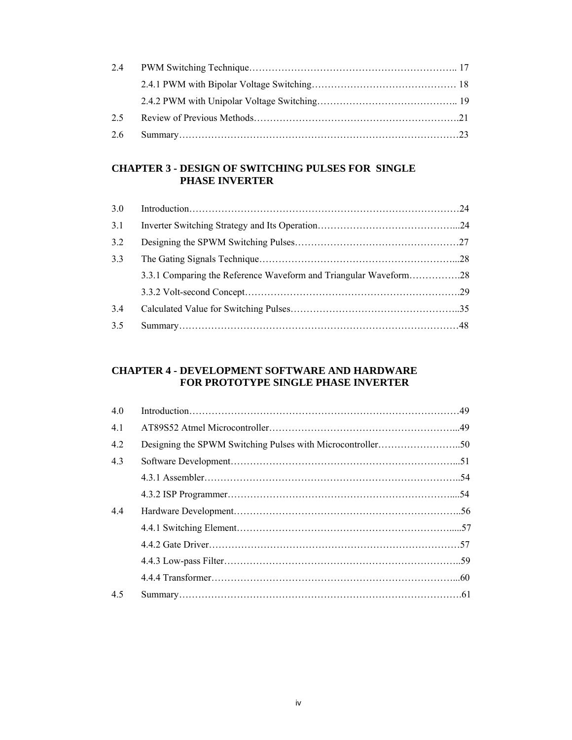| 2.5 |  |
|-----|--|
|     |  |

## **CHAPTER 3 - DESIGN OF SWITCHING PULSES FOR SINGLE PHASE INVERTER**

| 3.0 |                                                                  |  |
|-----|------------------------------------------------------------------|--|
| 3.1 |                                                                  |  |
| 3.2 |                                                                  |  |
| 3.3 |                                                                  |  |
|     | 3.3.1 Comparing the Reference Waveform and Triangular Waveform28 |  |
|     |                                                                  |  |
| 3.4 |                                                                  |  |
| 3.5 |                                                                  |  |

## **CHAPTER 4 - DEVELOPMENT SOFTWARE AND HARDWARE FOR PROTOTYPE SINGLE PHASE INVERTER**

| 4.0 |  |
|-----|--|
| 4.1 |  |
| 4.2 |  |
| 4.3 |  |
|     |  |
|     |  |
| 4.4 |  |
|     |  |
|     |  |
|     |  |
|     |  |
| 4.5 |  |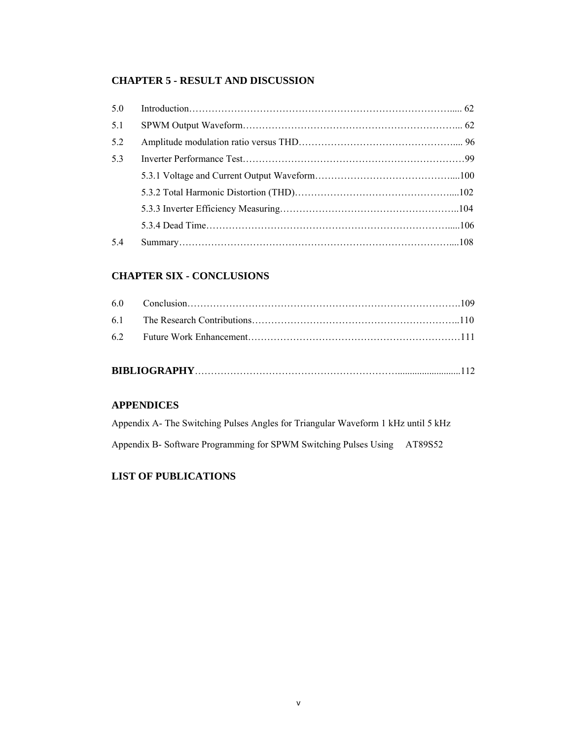## **CHAPTER 5 - RESULT AND DISCUSSION**

| 5.0 |  |
|-----|--|
| 5.1 |  |
| 52  |  |
| 5.3 |  |
|     |  |
|     |  |
|     |  |
|     |  |
| 5.4 |  |

## **CHAPTER SIX - CONCLUSIONS**

|--|--|--|

#### **APPENDICES**

| Appendix A- The Switching Pulses Angles for Triangular Waveform 1 kHz until 5 kHz |  |
|-----------------------------------------------------------------------------------|--|
| Appendix B- Software Programming for SPWM Switching Pulses Using AT89S52          |  |

## **LIST OF PUBLICATIONS**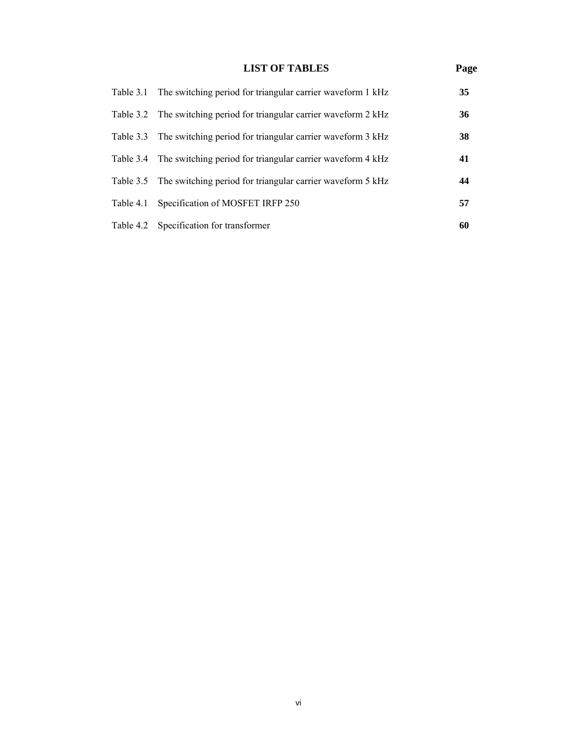#### **LIST OF TABLES** Page

# Table 3.1 The switching period for triangular carrier waveform 1 kHz **35** Table 3.2 The switching period for triangular carrier waveform 2 kHz **36** Table 3.3 The switching period for triangular carrier waveform 3 kHz **38** Table 3.4 The switching period for triangular carrier waveform 4 kHz **41** Table 3.5 The switching period for triangular carrier waveform 5 kHz **44** Table 4.1 Specification of MOSFET IRFP 250 **57**

Table 4.2 Specification for transformer **60**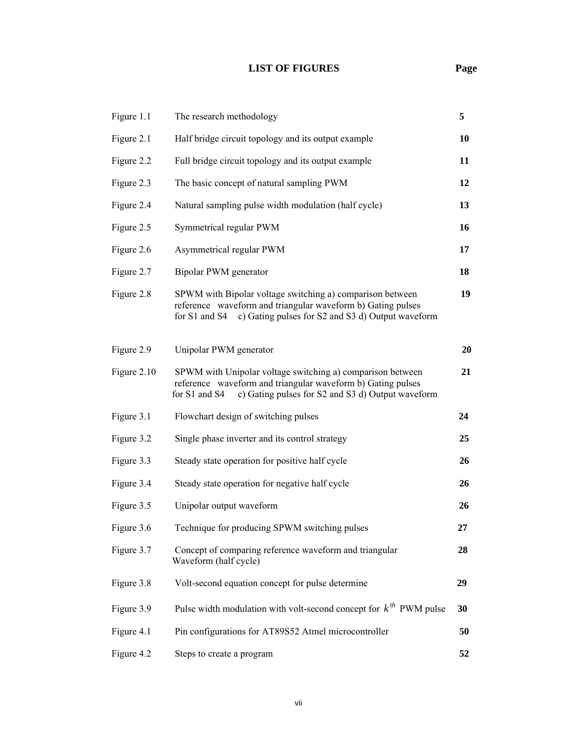## **LIST OF FIGURES Page**

| Figure 1.1  | The research methodology                                                                                                                                                                        | 5  |
|-------------|-------------------------------------------------------------------------------------------------------------------------------------------------------------------------------------------------|----|
| Figure 2.1  | Half bridge circuit topology and its output example                                                                                                                                             | 10 |
| Figure 2.2  | Full bridge circuit topology and its output example                                                                                                                                             | 11 |
| Figure 2.3  | The basic concept of natural sampling PWM                                                                                                                                                       | 12 |
| Figure 2.4  | Natural sampling pulse width modulation (half cycle)                                                                                                                                            | 13 |
| Figure 2.5  | Symmetrical regular PWM                                                                                                                                                                         | 16 |
| Figure 2.6  | Asymmetrical regular PWM                                                                                                                                                                        | 17 |
| Figure 2.7  | Bipolar PWM generator                                                                                                                                                                           | 18 |
| Figure 2.8  | SPWM with Bipolar voltage switching a) comparison between<br>reference waveform and triangular waveform b) Gating pulses<br>c) Gating pulses for S2 and S3 d) Output waveform<br>for S1 and S4  | 19 |
| Figure 2.9  | Unipolar PWM generator                                                                                                                                                                          | 20 |
| Figure 2.10 | SPWM with Unipolar voltage switching a) comparison between<br>reference waveform and triangular waveform b) Gating pulses<br>c) Gating pulses for S2 and S3 d) Output waveform<br>for S1 and S4 | 21 |
| Figure 3.1  | Flowchart design of switching pulses                                                                                                                                                            | 24 |
| Figure 3.2  | Single phase inverter and its control strategy                                                                                                                                                  | 25 |
| Figure 3.3  | Steady state operation for positive half cycle                                                                                                                                                  | 26 |
| Figure 3.4  | Steady state operation for negative half cycle                                                                                                                                                  | 26 |
| Figure 3.5  | Unipolar output waveform                                                                                                                                                                        | 26 |
| Figure 3.6  | Technique for producing SPWM switching pulses                                                                                                                                                   | 27 |
| Figure 3.7  | Concept of comparing reference waveform and triangular<br>Waveform (half cycle)                                                                                                                 | 28 |
| Figure 3.8  | Volt-second equation concept for pulse determine                                                                                                                                                | 29 |
| Figure 3.9  | Pulse width modulation with volt-second concept for $k^{th}$ PWM pulse                                                                                                                          | 30 |
| Figure 4.1  | Pin configurations for AT89S52 Atmel microcontroller                                                                                                                                            | 50 |
| Figure 4.2  | Steps to create a program                                                                                                                                                                       | 52 |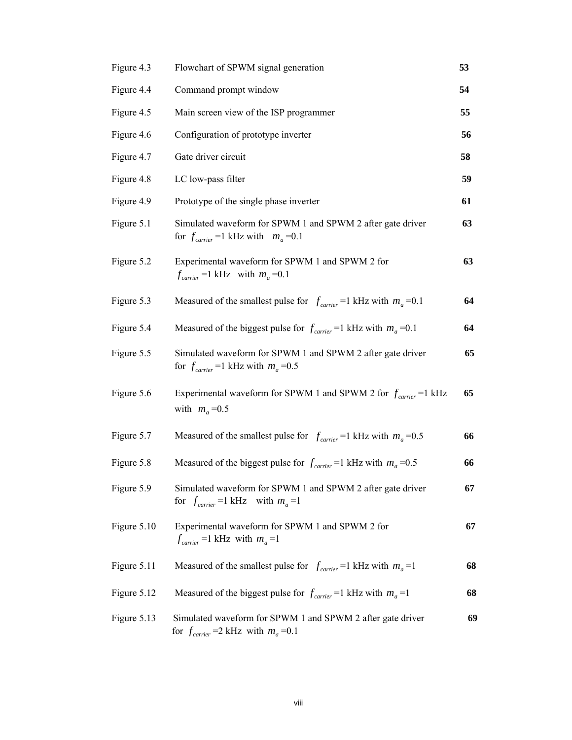| Figure 4.3  | Flowchart of SPWM signal generation                                                                             | 53 |
|-------------|-----------------------------------------------------------------------------------------------------------------|----|
| Figure 4.4  | Command prompt window                                                                                           | 54 |
| Figure 4.5  | Main screen view of the ISP programmer                                                                          | 55 |
| Figure 4.6  | Configuration of prototype inverter                                                                             | 56 |
| Figure 4.7  | Gate driver circuit                                                                                             | 58 |
| Figure 4.8  | LC low-pass filter                                                                                              | 59 |
| Figure 4.9  | Prototype of the single phase inverter                                                                          | 61 |
| Figure 5.1  | Simulated waveform for SPWM 1 and SPWM 2 after gate driver<br>for $f_{\text{carrier}} = 1$ kHz with $m_a = 0.1$ | 63 |
| Figure 5.2  | Experimental waveform for SPWM 1 and SPWM 2 for<br>$f_{\text{carrier}} = 1$ kHz with $m_a = 0.1$                | 63 |
| Figure 5.3  | Measured of the smallest pulse for $f_{\text{carrier}} = 1$ kHz with $m_a = 0.1$                                | 64 |
| Figure 5.4  | Measured of the biggest pulse for $f_{\text{carrier}} = 1$ kHz with $m_a = 0.1$                                 | 64 |
| Figure 5.5  | Simulated waveform for SPWM 1 and SPWM 2 after gate driver<br>for $f_{\text{carrier}} = 1$ kHz with $m_a = 0.5$ | 65 |
| Figure 5.6  | Experimental waveform for SPWM 1 and SPWM 2 for $f_{\text{carrier}} = 1$ kHz<br>with $m_a = 0.5$                | 65 |
| Figure 5.7  | Measured of the smallest pulse for $f_{\text{carrier}} = 1$ kHz with $m_a = 0.5$                                | 66 |
| Figure 5.8  | Measured of the biggest pulse for $f_{\text{carrier}} = 1$ kHz with $m_a = 0.5$                                 | 66 |
| Figure 5.9  | Simulated waveform for SPWM 1 and SPWM 2 after gate driver<br>for $f_{\text{carrier}} = 1$ kHz with $m_a = 1$   | 67 |
| Figure 5.10 | Experimental waveform for SPWM 1 and SPWM 2 for<br>$f_{\text{carrier}} = 1$ kHz with $m_a = 1$                  | 67 |
| Figure 5.11 | Measured of the smallest pulse for $f_{\text{carrier}} = 1$ kHz with $m_a = 1$                                  | 68 |
| Figure 5.12 | Measured of the biggest pulse for $f_{\text{carrier}} = 1$ kHz with $m_a = 1$                                   | 68 |
| Figure 5.13 | Simulated waveform for SPWM 1 and SPWM 2 after gate driver<br>for $f_{\text{carrier}} = 2$ kHz with $m_a = 0.1$ | 69 |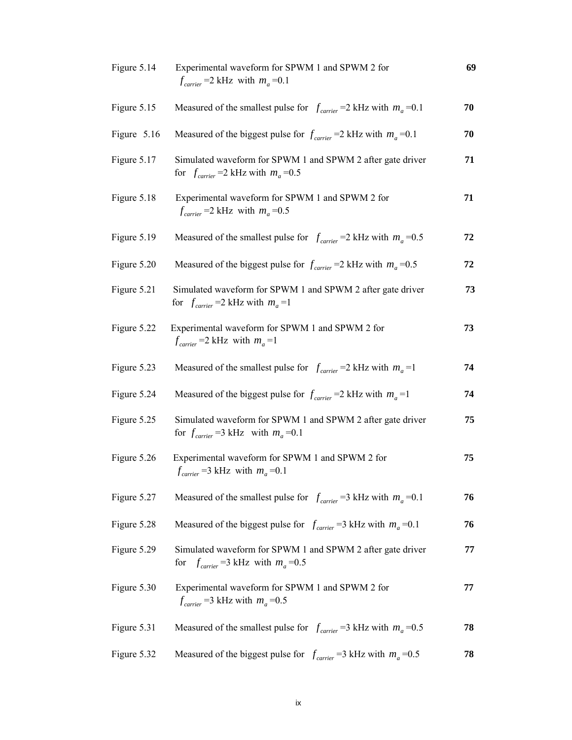| Figure 5.14 | Experimental waveform for SPWM 1 and SPWM 2 for<br>$f_{\text{carrier}}$ =2 kHz with $m_a$ =0.1                          | 69 |
|-------------|-------------------------------------------------------------------------------------------------------------------------|----|
| Figure 5.15 | Measured of the smallest pulse for $f_{\text{carrier}} = 2$ kHz with $m_a = 0.1$                                        | 70 |
| Figure 5.16 | Measured of the biggest pulse for $f_{\text{carrier}} = 2$ kHz with $m_a = 0.1$                                         | 70 |
| Figure 5.17 | Simulated waveform for SPWM 1 and SPWM 2 after gate driver<br>for $f_{\text{carrier}} = 2$ kHz with $m_a = 0.5$         | 71 |
| Figure 5.18 | Experimental waveform for SPWM 1 and SPWM 2 for<br>$f_{\text{carrier}}$ =2 kHz with $m_a$ =0.5                          | 71 |
| Figure 5.19 | Measured of the smallest pulse for $f_{\text{carrier}} = 2$ kHz with $m_a = 0.5$                                        | 72 |
| Figure 5.20 | Measured of the biggest pulse for $f_{\text{carrier}} = 2$ kHz with $m_a = 0.5$                                         | 72 |
| Figure 5.21 | Simulated waveform for SPWM 1 and SPWM 2 after gate driver<br>for $f_{\text{carrier}} = 2$ kHz with $m_a = 1$           | 73 |
| Figure 5.22 | Experimental waveform for SPWM 1 and SPWM 2 for<br>$f_{\text{carrier}}$ =2 kHz with $m_a$ =1                            | 73 |
| Figure 5.23 | Measured of the smallest pulse for $f_{\text{carrier}} = 2$ kHz with $m_a = 1$                                          | 74 |
| Figure 5.24 | Measured of the biggest pulse for $f_{\text{carrier}} = 2$ kHz with $m_a = 1$                                           | 74 |
| Figure 5.25 | Simulated waveform for SPWM 1 and SPWM 2 after gate driver<br>for $f_{\text{carrier}} = 3 \text{ kHz}$ with $m_a = 0.1$ | 75 |
| Figure 5.26 | Experimental waveform for SPWM 1 and SPWM 2 for<br>$f_{\text{carrier}} = 3 \text{ kHz}$ with $m_a = 0.1$                | 75 |
| Figure 5.27 | Measured of the smallest pulse for $f_{\text{carrier}} = 3$ kHz with $m_a = 0.1$                                        | 76 |
| Figure 5.28 | Measured of the biggest pulse for $f_{\text{carrier}} = 3$ kHz with $m_a = 0.1$                                         | 76 |
| Figure 5.29 | Simulated waveform for SPWM 1 and SPWM 2 after gate driver<br>$f_{\text{carrier}}$ =3 kHz with $m_a$ =0.5<br>for        | 77 |
| Figure 5.30 | Experimental waveform for SPWM 1 and SPWM 2 for<br>$f_{\text{carrier}}$ =3 kHz with $m_a$ =0.5                          | 77 |
| Figure 5.31 | Measured of the smallest pulse for $f_{\text{carrier}} = 3$ kHz with $m_a = 0.5$                                        | 78 |
| Figure 5.32 | Measured of the biggest pulse for $f_{\text{carrier}} = 3$ kHz with $m_a = 0.5$                                         | 78 |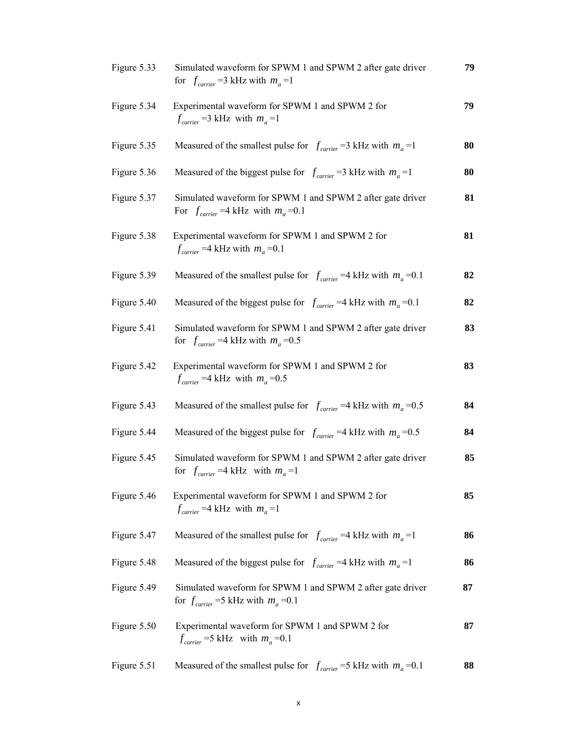| Figure 5.33 | Simulated waveform for SPWM 1 and SPWM 2 after gate driver<br>for $f_{\text{corner}} = 3$ kHz with $m_a = 1$           | 79 |
|-------------|------------------------------------------------------------------------------------------------------------------------|----|
| Figure 5.34 | Experimental waveform for SPWM 1 and SPWM 2 for<br>$f_{\text{carrier}} = 3$ kHz with $m_a = 1$                         | 79 |
| Figure 5.35 | Measured of the smallest pulse for $f_{\text{carrier}} = 3$ kHz with $m_a = 1$                                         | 80 |
| Figure 5.36 | Measured of the biggest pulse for $f_{\text{carrier}} = 3$ kHz with $m_a = 1$                                          | 80 |
| Figure 5.37 | Simulated waveform for SPWM 1 and SPWM 2 after gate driver<br>For $f_{\text{carrier}} = 4 \text{ kHz with } m_a = 0.1$ | 81 |
| Figure 5.38 | Experimental waveform for SPWM 1 and SPWM 2 for<br>$f_{\text{carrier}}$ =4 kHz with $m_a$ =0.1                         | 81 |
| Figure 5.39 | Measured of the smallest pulse for $f_{\text{carrier}} = 4$ kHz with $m_a = 0.1$                                       | 82 |
| Figure 5.40 | Measured of the biggest pulse for $f_{\text{carrier}} = 4$ kHz with $m_a = 0.1$                                        | 82 |
| Figure 5.41 | Simulated waveform for SPWM 1 and SPWM 2 after gate driver<br>for $f_{\text{carrier}} = 4 \text{ kHz with } m_a = 0.5$ | 83 |
| Figure 5.42 | Experimental waveform for SPWM 1 and SPWM 2 for<br>$f_{\text{carrier}} = 4 \text{ kHz}$ with $m_a = 0.5$               | 83 |
| Figure 5.43 | Measured of the smallest pulse for $f_{\text{carrier}} = 4$ kHz with $m_a = 0.5$                                       | 84 |
| Figure 5.44 | Measured of the biggest pulse for $f_{\text{carrier}} = 4$ kHz with $m_a = 0.5$                                        | 84 |
| Figure 5.45 | Simulated waveform for SPWM 1 and SPWM 2 after gate driver<br>for $f_{\text{carrier}} = 4 \text{ kHz}$ with $m_a = 1$  | 85 |
| Figure 5.46 | Experimental waveform for SPWM 1 and SPWM 2 for<br>$f_{\text{carrier}} = 4 \text{ kHz with } m_a = 1$                  | 85 |
| Figure 5.47 | Measured of the smallest pulse for $f_{\text{carrier}} = 4$ kHz with $m_a = 1$                                         | 86 |
| Figure 5.48 | Measured of the biggest pulse for $f_{\text{carrier}} = 4$ kHz with $m_a = 1$                                          | 86 |
| Figure 5.49 | Simulated waveform for SPWM 1 and SPWM 2 after gate driver<br>for $f_{\text{carrier}} = 5$ kHz with $m_a = 0.1$        | 87 |
| Figure 5.50 | Experimental waveform for SPWM 1 and SPWM 2 for<br>$f_{\text{carrier}} = 5 \text{ kHz}$ with $m_a = 0.1$               | 87 |
| Figure 5.51 | Measured of the smallest pulse for $f_{\text{carrier}} = 5$ kHz with $m_a = 0.1$                                       | 88 |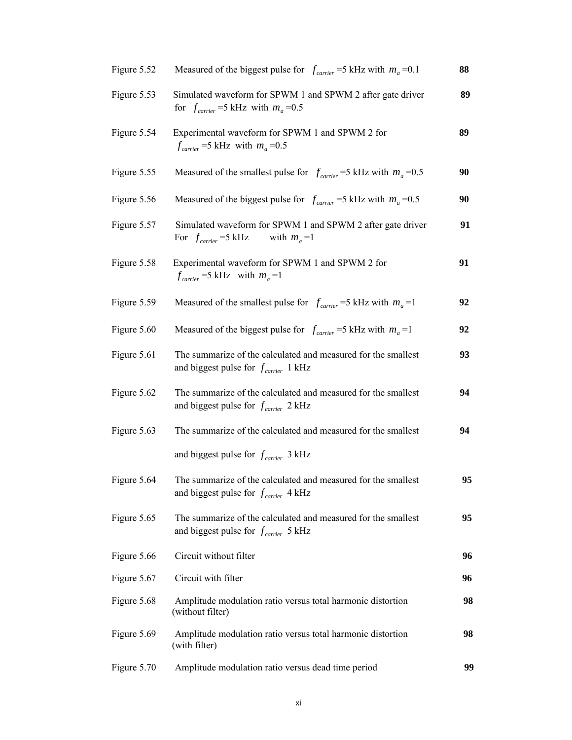| Figure 5.52 | Measured of the biggest pulse for $f_{\text{carrier}} = 5$ kHz with $m_a = 0.1$                                   | 88 |
|-------------|-------------------------------------------------------------------------------------------------------------------|----|
| Figure 5.53 | Simulated waveform for SPWM 1 and SPWM 2 after gate driver<br>for $f_{\text{carrier}} = 5$ kHz with $m_a = 0.5$   | 89 |
| Figure 5.54 | Experimental waveform for SPWM 1 and SPWM 2 for<br>$f_{\text{carrier}}$ =5 kHz with $m_a$ =0.5                    | 89 |
| Figure 5.55 | Measured of the smallest pulse for $f_{\text{carrier}} = 5$ kHz with $m_a = 0.5$                                  | 90 |
| Figure 5.56 | Measured of the biggest pulse for $f_{\text{carrier}} = 5$ kHz with $m_a = 0.5$                                   | 90 |
| Figure 5.57 | Simulated waveform for SPWM 1 and SPWM 2 after gate driver<br>For $f_{\text{carrier}} = 5$ kHz<br>with $m_a = 1$  | 91 |
| Figure 5.58 | Experimental waveform for SPWM 1 and SPWM 2 for<br>$f_{\text{carrier}} = 5 \text{ kHz}$ with $m_a = 1$            | 91 |
| Figure 5.59 | Measured of the smallest pulse for $f_{\text{carrier}} = 5$ kHz with $m_a = 1$                                    | 92 |
| Figure 5.60 | Measured of the biggest pulse for $f_{\text{carrier}} = 5$ kHz with $m_a = 1$                                     | 92 |
| Figure 5.61 | The summarize of the calculated and measured for the smallest<br>and biggest pulse for $f_{\text{carrier}}$ 1 kHz | 93 |
| Figure 5.62 | The summarize of the calculated and measured for the smallest<br>and biggest pulse for $f_{\text{carrier}}$ 2 kHz | 94 |
| Figure 5.63 | The summarize of the calculated and measured for the smallest                                                     | 94 |
|             | and biggest pulse for $f_{\text{carrier}}$ 3 kHz                                                                  |    |
| Figure 5.64 | The summarize of the calculated and measured for the smallest<br>and biggest pulse for $f_{\text{carrier}}$ 4 kHz | 95 |
| Figure 5.65 | The summarize of the calculated and measured for the smallest<br>and biggest pulse for $f_{\text{carrier}}$ 5 kHz | 95 |
| Figure 5.66 | Circuit without filter                                                                                            | 96 |
| Figure 5.67 | Circuit with filter                                                                                               | 96 |
| Figure 5.68 | Amplitude modulation ratio versus total harmonic distortion<br>(without filter)                                   | 98 |
| Figure 5.69 | Amplitude modulation ratio versus total harmonic distortion<br>(with filter)                                      | 98 |
| Figure 5.70 | Amplitude modulation ratio versus dead time period                                                                | 99 |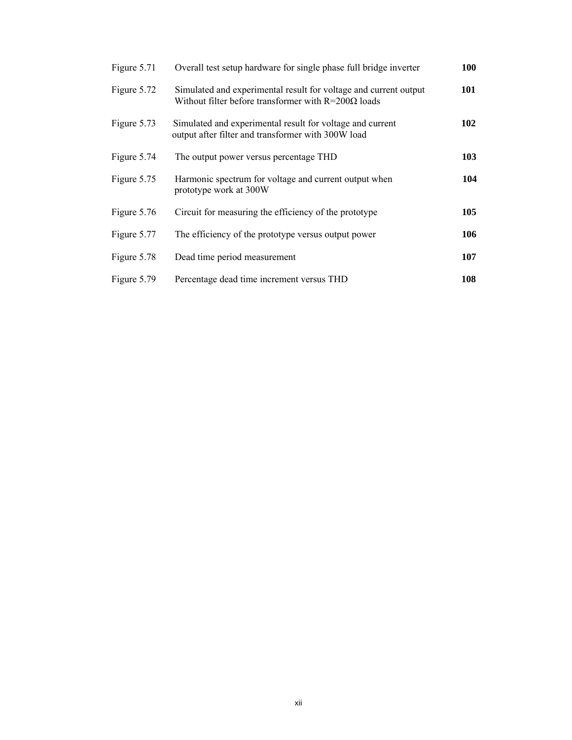| Figure 5.71 | Overall test setup hardware for single phase full bridge inverter                                                                | 100 |
|-------------|----------------------------------------------------------------------------------------------------------------------------------|-----|
| Figure 5.72 | Simulated and experimental result for voltage and current output<br>Without filter before transformer with $R = 200\Omega$ loads | 101 |
| Figure 5.73 | Simulated and experimental result for voltage and current<br>output after filter and transformer with 300W load                  | 102 |
| Figure 5.74 | The output power versus percentage THD                                                                                           | 103 |
| Figure 5.75 | Harmonic spectrum for voltage and current output when<br>prototype work at 300W                                                  | 104 |
| Figure 5.76 | Circuit for measuring the efficiency of the prototype                                                                            | 105 |
| Figure 5.77 | The efficiency of the prototype versus output power                                                                              | 106 |
| Figure 5.78 | Dead time period measurement                                                                                                     | 107 |
| Figure 5.79 | Percentage dead time increment versus THD                                                                                        | 108 |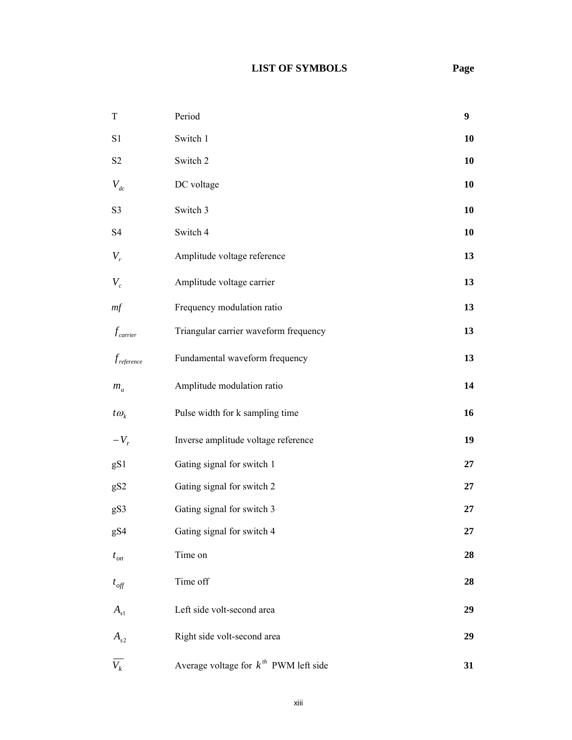## **LIST OF SYMBOLS Page**

| T                      | Period                                     | 9  |
|------------------------|--------------------------------------------|----|
| S1                     | Switch 1                                   | 10 |
| S <sub>2</sub>         | Switch 2                                   | 10 |
| $V_{dc}$               | DC voltage                                 | 10 |
| S <sub>3</sub>         | Switch 3                                   | 10 |
| S4                     | Switch 4                                   | 10 |
| $V_r$                  | Amplitude voltage reference                | 13 |
| $V_c$                  | Amplitude voltage carrier                  | 13 |
| mf                     | Frequency modulation ratio                 | 13 |
| $f_{\textit{carrier}}$ | Triangular carrier waveform frequency      | 13 |
| $f_{reference}$        | Fundamental waveform frequency             | 13 |
| $m_a$                  | Amplitude modulation ratio                 | 14 |
| $t\omega_k$            | Pulse width for k sampling time            | 16 |
| $-V_r$                 | Inverse amplitude voltage reference        | 19 |
| gS1                    | Gating signal for switch 1                 | 27 |
| gS2                    | Gating signal for switch 2                 | 27 |
| gS3                    | Gating signal for switch 3                 | 27 |
| gS4                    | Gating signal for switch 4                 | 27 |
| $t_{on}$               | Time on                                    | 28 |
| $t_{\text{off}}$       | Time off                                   | 28 |
| $A_{s1}$               | Left side volt-second area                 | 29 |
| $A_{s2}$               | Right side volt-second area                | 29 |
| $\overline{V_k}$       | Average voltage for $k^{th}$ PWM left side | 31 |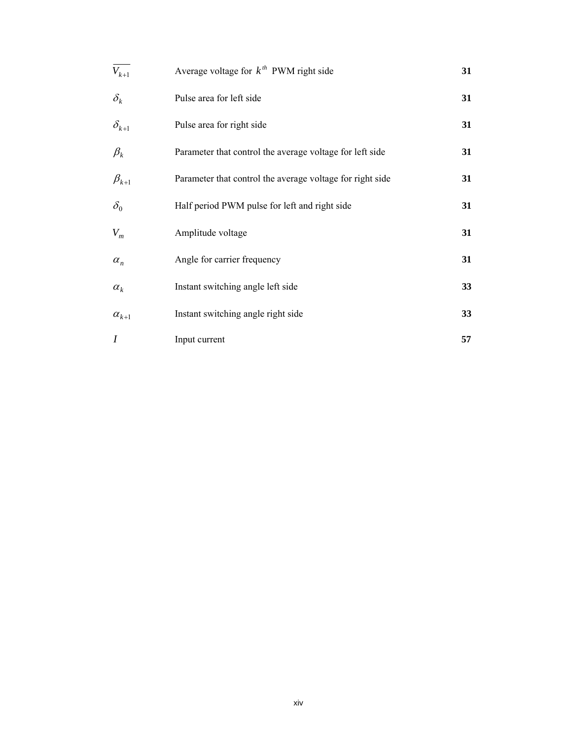| $V_{k+1}$        | Average voltage for $k^{th}$ PWM right side               | 31 |
|------------------|-----------------------------------------------------------|----|
| $\delta_{\rm k}$ | Pulse area for left side                                  | 31 |
| $\delta_{k+1}$   | Pulse area for right side                                 | 31 |
| $\beta_k$        | Parameter that control the average voltage for left side  | 31 |
| $\beta_{k+1}$    | Parameter that control the average voltage for right side | 31 |
| $\delta_0$       | Half period PWM pulse for left and right side             | 31 |
| $V_m$            | Amplitude voltage                                         | 31 |
| $\alpha_n$       | Angle for carrier frequency                               | 31 |
| $\alpha_{k}$     | Instant switching angle left side                         | 33 |
| $\alpha_{k+1}$   | Instant switching angle right side                        | 33 |
| $\boldsymbol{I}$ | Input current                                             | 57 |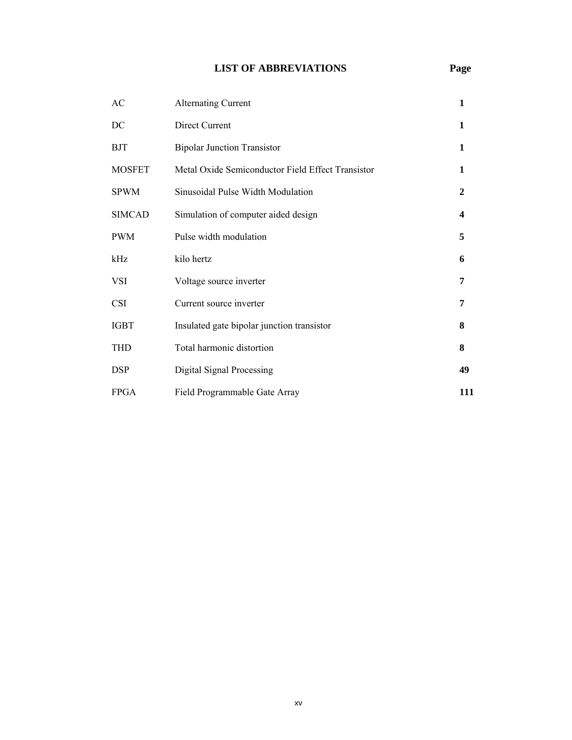## **LIST OF ABBREVIATIONS Page**

| AC            | <b>Alternating Current</b>                        | 1                |
|---------------|---------------------------------------------------|------------------|
| DC            | Direct Current                                    | 1                |
| <b>BJT</b>    | <b>Bipolar Junction Transistor</b>                | 1                |
| <b>MOSFET</b> | Metal Oxide Semiconductor Field Effect Transistor | 1                |
| <b>SPWM</b>   | Sinusoidal Pulse Width Modulation                 | $\boldsymbol{2}$ |
| <b>SIMCAD</b> | Simulation of computer aided design               | 4                |
| <b>PWM</b>    | Pulse width modulation                            | 5                |
| kHz           | kilo hertz                                        | 6                |
| VSI           | Voltage source inverter                           | 7                |
| <b>CSI</b>    | Current source inverter                           | 7                |
| <b>IGBT</b>   | Insulated gate bipolar junction transistor        | 8                |
| <b>THD</b>    | Total harmonic distortion                         | 8                |
| <b>DSP</b>    | Digital Signal Processing                         | 49               |
| <b>FPGA</b>   | Field Programmable Gate Array                     | 111              |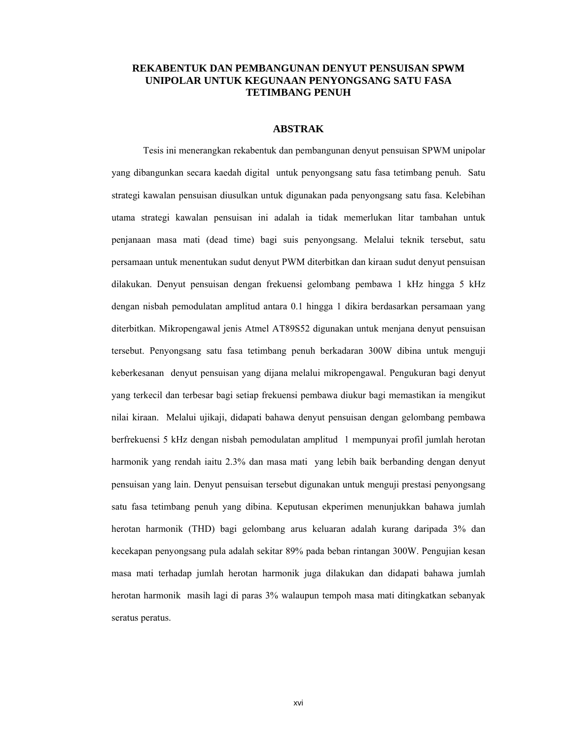#### **REKABENTUK DAN PEMBANGUNAN DENYUT PENSUISAN SPWM UNIPOLAR UNTUK KEGUNAAN PENYONGSANG SATU FASA TETIMBANG PENUH**

#### **ABSTRAK**

Tesis ini menerangkan rekabentuk dan pembangunan denyut pensuisan SPWM unipolar yang dibangunkan secara kaedah digital untuk penyongsang satu fasa tetimbang penuh. Satu strategi kawalan pensuisan diusulkan untuk digunakan pada penyongsang satu fasa. Kelebihan utama strategi kawalan pensuisan ini adalah ia tidak memerlukan litar tambahan untuk penjanaan masa mati (dead time) bagi suis penyongsang. Melalui teknik tersebut, satu persamaan untuk menentukan sudut denyut PWM diterbitkan dan kiraan sudut denyut pensuisan dilakukan. Denyut pensuisan dengan frekuensi gelombang pembawa 1 kHz hingga 5 kHz dengan nisbah pemodulatan amplitud antara 0.1 hingga 1 dikira berdasarkan persamaan yang diterbitkan. Mikropengawal jenis Atmel AT89S52 digunakan untuk menjana denyut pensuisan tersebut. Penyongsang satu fasa tetimbang penuh berkadaran 300W dibina untuk menguji keberkesanan denyut pensuisan yang dijana melalui mikropengawal. Pengukuran bagi denyut yang terkecil dan terbesar bagi setiap frekuensi pembawa diukur bagi memastikan ia mengikut nilai kiraan. Melalui ujikaji, didapati bahawa denyut pensuisan dengan gelombang pembawa berfrekuensi 5 kHz dengan nisbah pemodulatan amplitud 1 mempunyai profil jumlah herotan harmonik yang rendah iaitu 2.3% dan masa mati yang lebih baik berbanding dengan denyut pensuisan yang lain. Denyut pensuisan tersebut digunakan untuk menguji prestasi penyongsang satu fasa tetimbang penuh yang dibina. Keputusan ekperimen menunjukkan bahawa jumlah herotan harmonik (THD) bagi gelombang arus keluaran adalah kurang daripada 3% dan kecekapan penyongsang pula adalah sekitar 89% pada beban rintangan 300W. Pengujian kesan masa mati terhadap jumlah herotan harmonik juga dilakukan dan didapati bahawa jumlah herotan harmonik masih lagi di paras 3% walaupun tempoh masa mati ditingkatkan sebanyak seratus peratus.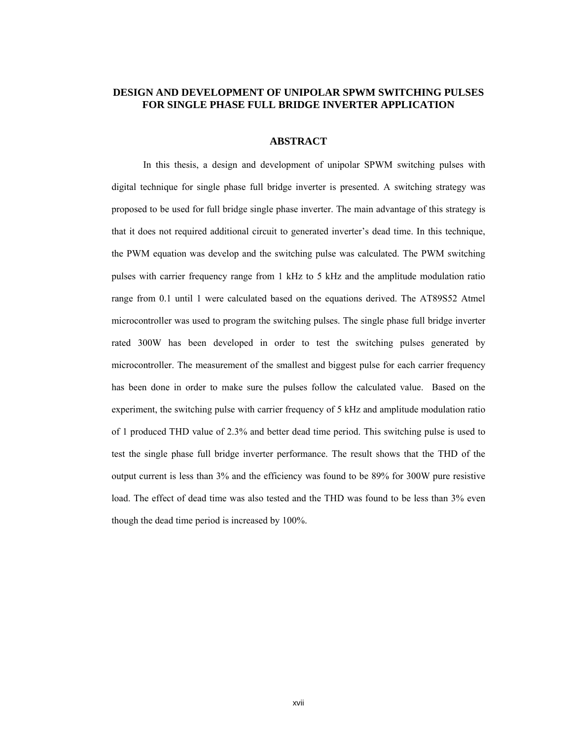#### **DESIGN AND DEVELOPMENT OF UNIPOLAR SPWM SWITCHING PULSES FOR SINGLE PHASE FULL BRIDGE INVERTER APPLICATION**

#### **ABSTRACT**

In this thesis, a design and development of unipolar SPWM switching pulses with digital technique for single phase full bridge inverter is presented. A switching strategy was proposed to be used for full bridge single phase inverter. The main advantage of this strategy is that it does not required additional circuit to generated inverter's dead time. In this technique, the PWM equation was develop and the switching pulse was calculated. The PWM switching pulses with carrier frequency range from 1 kHz to 5 kHz and the amplitude modulation ratio range from 0.1 until 1 were calculated based on the equations derived. The AT89S52 Atmel microcontroller was used to program the switching pulses. The single phase full bridge inverter rated 300W has been developed in order to test the switching pulses generated by microcontroller. The measurement of the smallest and biggest pulse for each carrier frequency has been done in order to make sure the pulses follow the calculated value. Based on the experiment, the switching pulse with carrier frequency of 5 kHz and amplitude modulation ratio of 1 produced THD value of 2.3% and better dead time period. This switching pulse is used to test the single phase full bridge inverter performance. The result shows that the THD of the output current is less than 3% and the efficiency was found to be 89% for 300W pure resistive load. The effect of dead time was also tested and the THD was found to be less than 3% even though the dead time period is increased by 100%.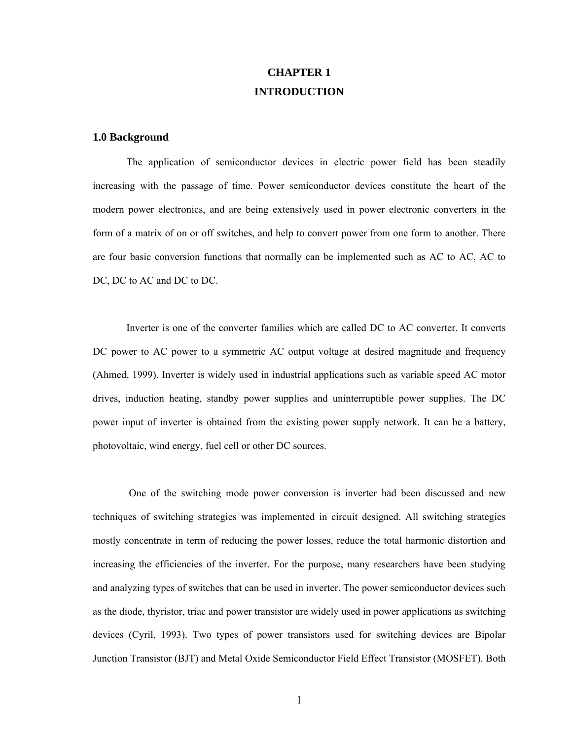## **CHAPTER 1 INTRODUCTION**

#### **1.0 Background**

The application of semiconductor devices in electric power field has been steadily increasing with the passage of time. Power semiconductor devices constitute the heart of the modern power electronics, and are being extensively used in power electronic converters in the form of a matrix of on or off switches, and help to convert power from one form to another. There are four basic conversion functions that normally can be implemented such as AC to AC, AC to DC, DC to AC and DC to DC.

Inverter is one of the converter families which are called DC to AC converter. It converts DC power to AC power to a symmetric AC output voltage at desired magnitude and frequency (Ahmed, 1999). Inverter is widely used in industrial applications such as variable speed AC motor drives, induction heating, standby power supplies and uninterruptible power supplies. The DC power input of inverter is obtained from the existing power supply network. It can be a battery, photovoltaic, wind energy, fuel cell or other DC sources.

 One of the switching mode power conversion is inverter had been discussed and new techniques of switching strategies was implemented in circuit designed. All switching strategies mostly concentrate in term of reducing the power losses, reduce the total harmonic distortion and increasing the efficiencies of the inverter. For the purpose, many researchers have been studying and analyzing types of switches that can be used in inverter. The power semiconductor devices such as the diode, thyristor, triac and power transistor are widely used in power applications as switching devices (Cyril, 1993). Two types of power transistors used for switching devices are Bipolar Junction Transistor (BJT) and Metal Oxide Semiconductor Field Effect Transistor (MOSFET). Both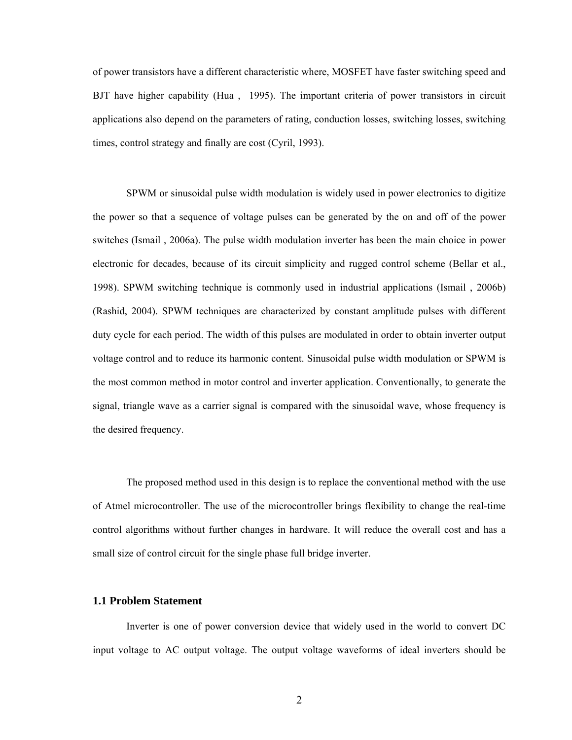of power transistors have a different characteristic where, MOSFET have faster switching speed and BJT have higher capability (Hua , 1995). The important criteria of power transistors in circuit applications also depend on the parameters of rating, conduction losses, switching losses, switching times, control strategy and finally are cost (Cyril, 1993).

 SPWM or sinusoidal pulse width modulation is widely used in power electronics to digitize the power so that a sequence of voltage pulses can be generated by the on and off of the power switches (Ismail , 2006a). The pulse width modulation inverter has been the main choice in power electronic for decades, because of its circuit simplicity and rugged control scheme (Bellar et al., 1998). SPWM switching technique is commonly used in industrial applications (Ismail , 2006b) (Rashid, 2004). SPWM techniques are characterized by constant amplitude pulses with different duty cycle for each period. The width of this pulses are modulated in order to obtain inverter output voltage control and to reduce its harmonic content. Sinusoidal pulse width modulation or SPWM is the most common method in motor control and inverter application. Conventionally, to generate the signal, triangle wave as a carrier signal is compared with the sinusoidal wave, whose frequency is the desired frequency.

The proposed method used in this design is to replace the conventional method with the use of Atmel microcontroller. The use of the microcontroller brings flexibility to change the real-time control algorithms without further changes in hardware. It will reduce the overall cost and has a small size of control circuit for the single phase full bridge inverter.

#### **1.1 Problem Statement**

 Inverter is one of power conversion device that widely used in the world to convert DC input voltage to AC output voltage. The output voltage waveforms of ideal inverters should be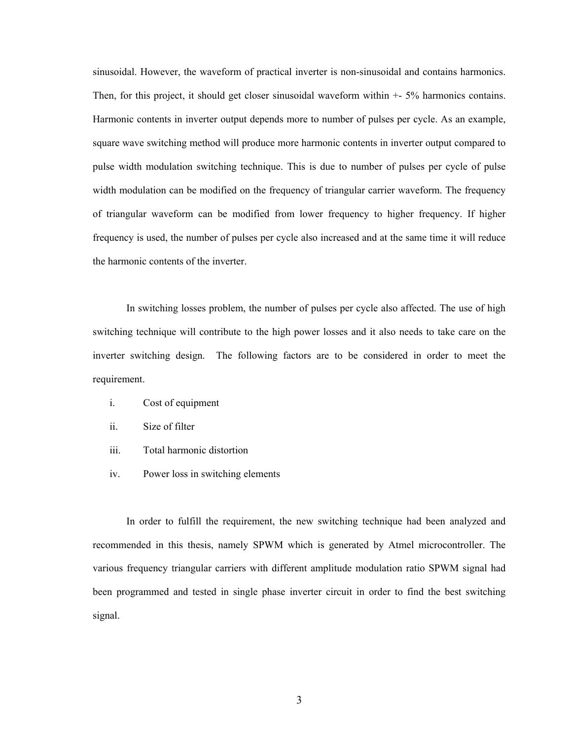sinusoidal. However, the waveform of practical inverter is non-sinusoidal and contains harmonics. Then, for this project, it should get closer sinusoidal waveform within +- 5% harmonics contains. Harmonic contents in inverter output depends more to number of pulses per cycle. As an example, square wave switching method will produce more harmonic contents in inverter output compared to pulse width modulation switching technique. This is due to number of pulses per cycle of pulse width modulation can be modified on the frequency of triangular carrier waveform. The frequency of triangular waveform can be modified from lower frequency to higher frequency. If higher frequency is used, the number of pulses per cycle also increased and at the same time it will reduce the harmonic contents of the inverter.

 In switching losses problem, the number of pulses per cycle also affected. The use of high switching technique will contribute to the high power losses and it also needs to take care on the inverter switching design. The following factors are to be considered in order to meet the requirement.

- i. Cost of equipment
- ii. Size of filter
- iii. Total harmonic distortion
- iv. Power loss in switching elements

In order to fulfill the requirement, the new switching technique had been analyzed and recommended in this thesis, namely SPWM which is generated by Atmel microcontroller. The various frequency triangular carriers with different amplitude modulation ratio SPWM signal had been programmed and tested in single phase inverter circuit in order to find the best switching signal.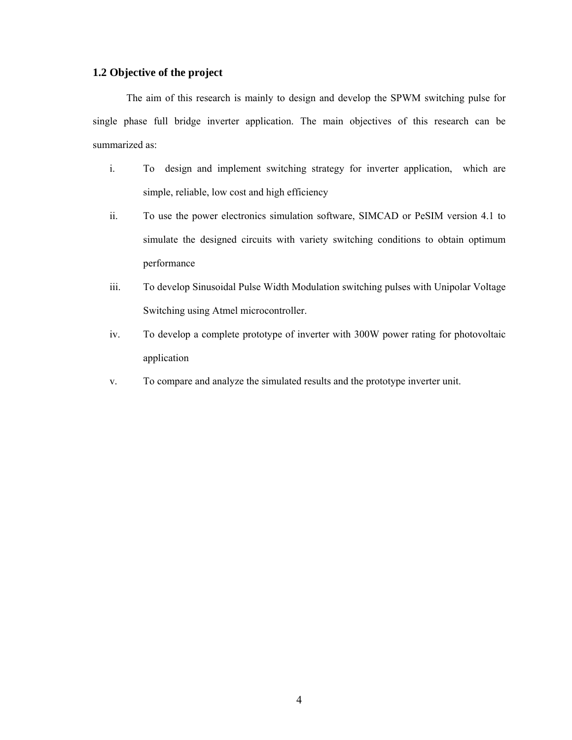## **1.2 Objective of the project**

 The aim of this research is mainly to design and develop the SPWM switching pulse for single phase full bridge inverter application. The main objectives of this research can be summarized as:

- i. To design and implement switching strategy for inverter application, which are simple, reliable, low cost and high efficiency
- ii. To use the power electronics simulation software, SIMCAD or PeSIM version 4.1 to simulate the designed circuits with variety switching conditions to obtain optimum performance
- iii. To develop Sinusoidal Pulse Width Modulation switching pulses with Unipolar Voltage Switching using Atmel microcontroller.
- iv. To develop a complete prototype of inverter with 300W power rating for photovoltaic application
- v. To compare and analyze the simulated results and the prototype inverter unit.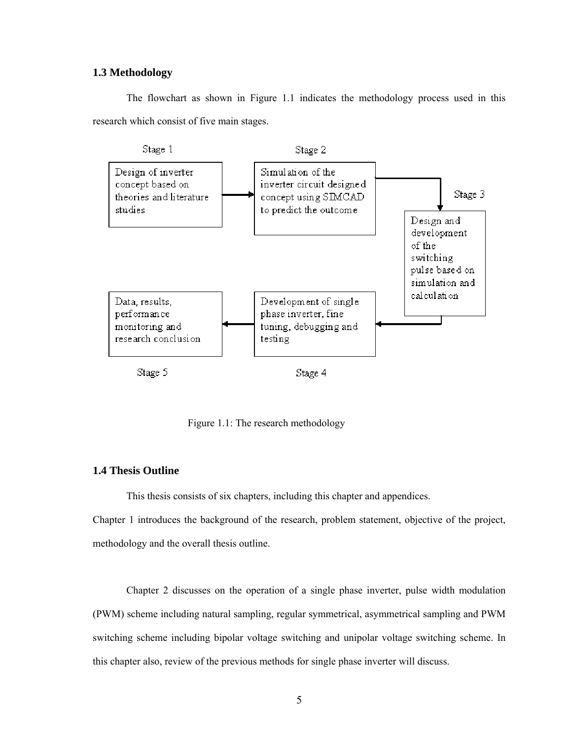#### **1.3 Methodology**

 The flowchart as shown in Figure 1.1 indicates the methodology process used in this research which consist of five main stages.



Figure 1.1: The research methodology

## **1.4 Thesis Outline**

This thesis consists of six chapters, including this chapter and appendices.

Chapter 1 introduces the background of the research, problem statement, objective of the project, methodology and the overall thesis outline.

 Chapter 2 discusses on the operation of a single phase inverter, pulse width modulation (PWM) scheme including natural sampling, regular symmetrical, asymmetrical sampling and PWM switching scheme including bipolar voltage switching and unipolar voltage switching scheme. In this chapter also, review of the previous methods for single phase inverter will discuss.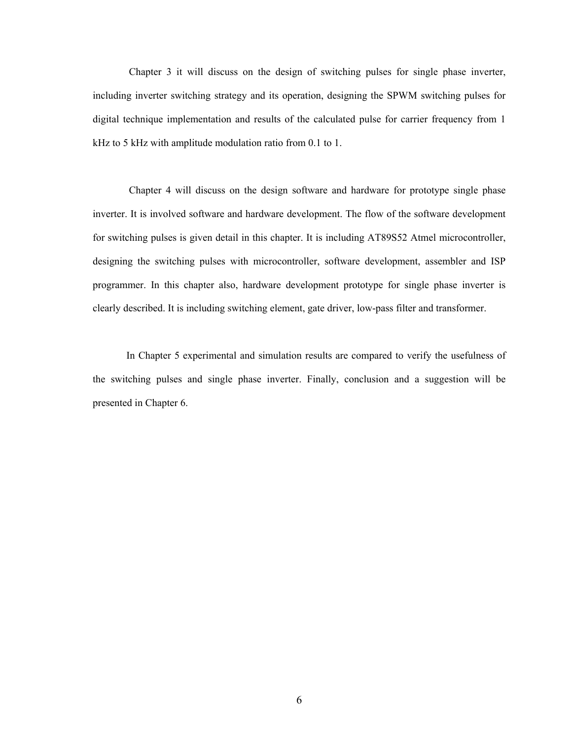Chapter 3 it will discuss on the design of switching pulses for single phase inverter, including inverter switching strategy and its operation, designing the SPWM switching pulses for digital technique implementation and results of the calculated pulse for carrier frequency from 1 kHz to 5 kHz with amplitude modulation ratio from 0.1 to 1.

 Chapter 4 will discuss on the design software and hardware for prototype single phase inverter. It is involved software and hardware development. The flow of the software development for switching pulses is given detail in this chapter. It is including AT89S52 Atmel microcontroller, designing the switching pulses with microcontroller, software development, assembler and ISP programmer. In this chapter also, hardware development prototype for single phase inverter is clearly described. It is including switching element, gate driver, low-pass filter and transformer.

 In Chapter 5 experimental and simulation results are compared to verify the usefulness of the switching pulses and single phase inverter. Finally, conclusion and a suggestion will be presented in Chapter 6.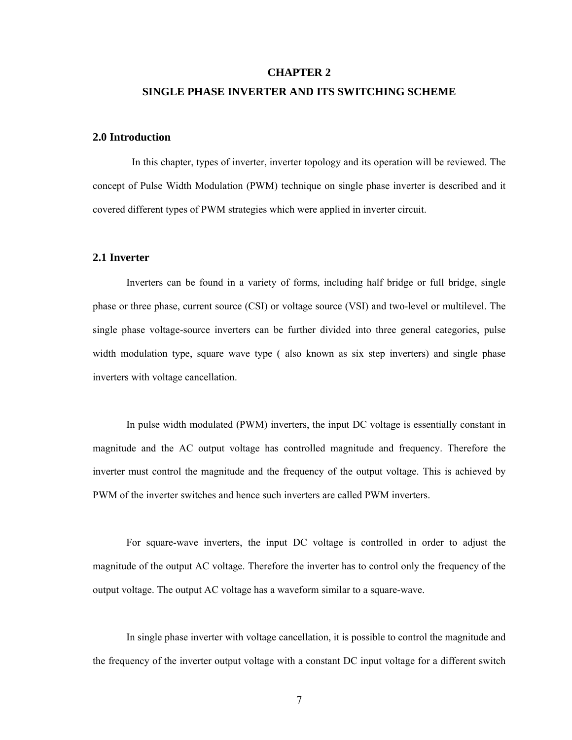#### **CHAPTER 2**

#### **SINGLE PHASE INVERTER AND ITS SWITCHING SCHEME**

#### **2.0 Introduction**

 In this chapter, types of inverter, inverter topology and its operation will be reviewed. The concept of Pulse Width Modulation (PWM) technique on single phase inverter is described and it covered different types of PWM strategies which were applied in inverter circuit.

#### **2.1 Inverter**

 Inverters can be found in a variety of forms, including half bridge or full bridge, single phase or three phase, current source (CSI) or voltage source (VSI) and two-level or multilevel. The single phase voltage-source inverters can be further divided into three general categories, pulse width modulation type, square wave type ( also known as six step inverters) and single phase inverters with voltage cancellation.

 In pulse width modulated (PWM) inverters, the input DC voltage is essentially constant in magnitude and the AC output voltage has controlled magnitude and frequency. Therefore the inverter must control the magnitude and the frequency of the output voltage. This is achieved by PWM of the inverter switches and hence such inverters are called PWM inverters.

 For square-wave inverters, the input DC voltage is controlled in order to adjust the magnitude of the output AC voltage. Therefore the inverter has to control only the frequency of the output voltage. The output AC voltage has a waveform similar to a square-wave.

In single phase inverter with voltage cancellation, it is possible to control the magnitude and the frequency of the inverter output voltage with a constant DC input voltage for a different switch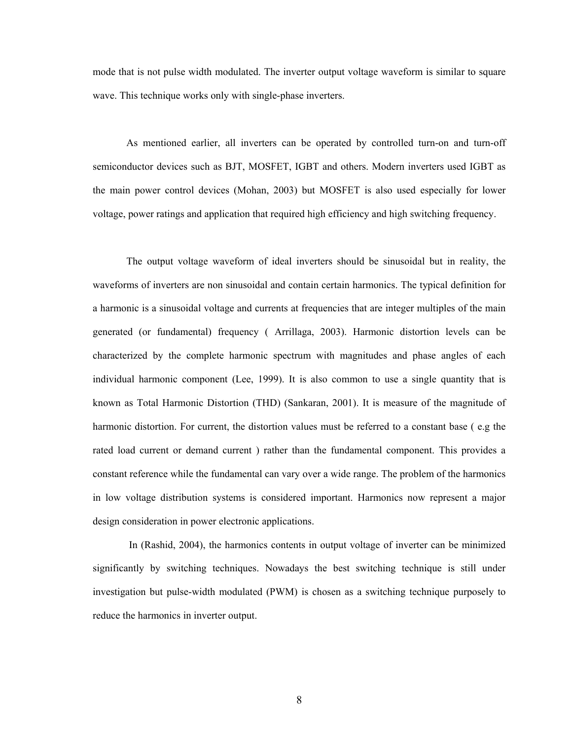mode that is not pulse width modulated. The inverter output voltage waveform is similar to square wave. This technique works only with single-phase inverters.

As mentioned earlier, all inverters can be operated by controlled turn-on and turn-off semiconductor devices such as BJT, MOSFET, IGBT and others. Modern inverters used IGBT as the main power control devices (Mohan, 2003) but MOSFET is also used especially for lower voltage, power ratings and application that required high efficiency and high switching frequency.

The output voltage waveform of ideal inverters should be sinusoidal but in reality, the waveforms of inverters are non sinusoidal and contain certain harmonics. The typical definition for a harmonic is a sinusoidal voltage and currents at frequencies that are integer multiples of the main generated (or fundamental) frequency ( Arrillaga, 2003). Harmonic distortion levels can be characterized by the complete harmonic spectrum with magnitudes and phase angles of each individual harmonic component (Lee, 1999). It is also common to use a single quantity that is known as Total Harmonic Distortion (THD) (Sankaran, 2001). It is measure of the magnitude of harmonic distortion. For current, the distortion values must be referred to a constant base (e.g the rated load current or demand current ) rather than the fundamental component. This provides a constant reference while the fundamental can vary over a wide range. The problem of the harmonics in low voltage distribution systems is considered important. Harmonics now represent a major design consideration in power electronic applications.

 In (Rashid, 2004), the harmonics contents in output voltage of inverter can be minimized significantly by switching techniques. Nowadays the best switching technique is still under investigation but pulse-width modulated (PWM) is chosen as a switching technique purposely to reduce the harmonics in inverter output.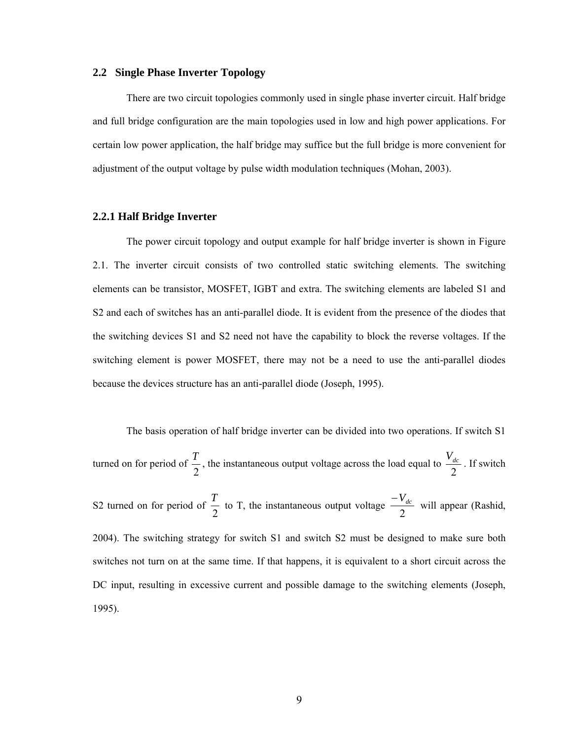#### **2.2 Single Phase Inverter Topology**

 There are two circuit topologies commonly used in single phase inverter circuit. Half bridge and full bridge configuration are the main topologies used in low and high power applications. For certain low power application, the half bridge may suffice but the full bridge is more convenient for adjustment of the output voltage by pulse width modulation techniques (Mohan, 2003).

#### **2.2.1 Half Bridge Inverter**

 The power circuit topology and output example for half bridge inverter is shown in Figure 2.1. The inverter circuit consists of two controlled static switching elements. The switching elements can be transistor, MOSFET, IGBT and extra. The switching elements are labeled S1 and S2 and each of switches has an anti-parallel diode. It is evident from the presence of the diodes that the switching devices S1 and S2 need not have the capability to block the reverse voltages. If the switching element is power MOSFET, there may not be a need to use the anti-parallel diodes because the devices structure has an anti-parallel diode (Joseph, 1995).

 The basis operation of half bridge inverter can be divided into two operations. If switch S1 turned on for period of  $\frac{T}{2}$ , the instantaneous output voltage across the load equal to  $\frac{V_{dc}}{2}$ . If switch S2 turned on for period of  $\frac{1}{2}$ *T* to T, the instantaneous output voltage  $\frac{1}{2}$  $\frac{-V_{dc}}{2}$  will appear (Rashid, 2004). The switching strategy for switch S1 and switch S2 must be designed to make sure both switches not turn on at the same time. If that happens, it is equivalent to a short circuit across the DC input, resulting in excessive current and possible damage to the switching elements (Joseph, 1995).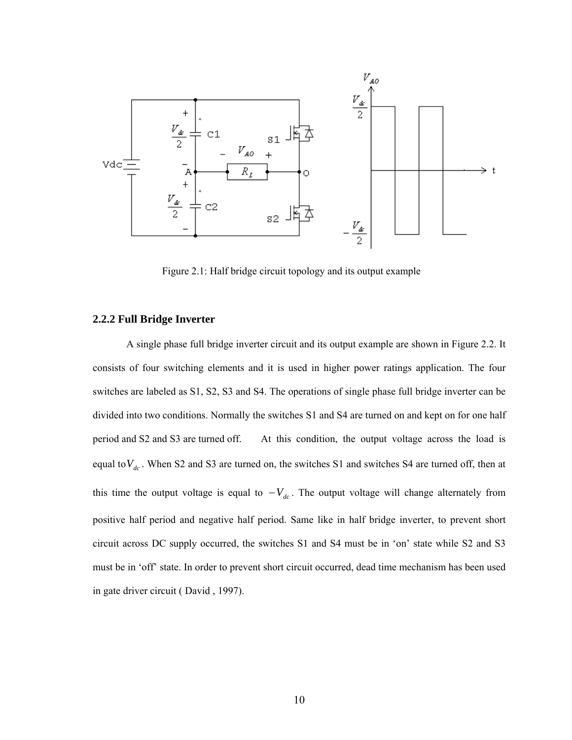

Figure 2.1: Half bridge circuit topology and its output example

#### **2.2.2 Full Bridge Inverter**

 A single phase full bridge inverter circuit and its output example are shown in Figure 2.2. It consists of four switching elements and it is used in higher power ratings application. The four switches are labeled as S1, S2, S3 and S4. The operations of single phase full bridge inverter can be divided into two conditions. Normally the switches S1 and S4 are turned on and kept on for one half period and S2 and S3 are turned off. At this condition, the output voltage across the load is equal to  $V_{dc}$ . When S2 and S3 are turned on, the switches S1 and switches S4 are turned off, then at this time the output voltage is equal to  $-V_{dc}$ . The output voltage will change alternately from positive half period and negative half period. Same like in half bridge inverter, to prevent short circuit across DC supply occurred, the switches S1 and S4 must be in 'on' state while S2 and S3 must be in 'off' state. In order to prevent short circuit occurred, dead time mechanism has been used in gate driver circuit ( David , 1997).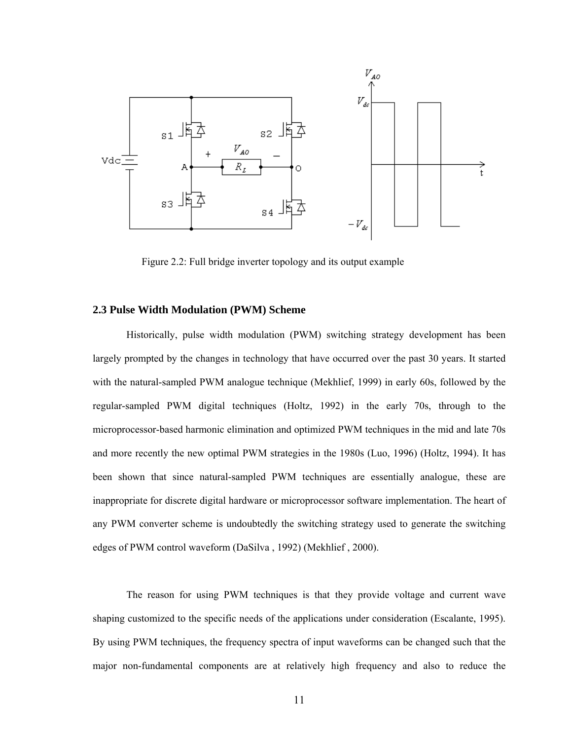

Figure 2.2: Full bridge inverter topology and its output example

#### **2.3 Pulse Width Modulation (PWM) Scheme**

 Historically, pulse width modulation (PWM) switching strategy development has been largely prompted by the changes in technology that have occurred over the past 30 years. It started with the natural-sampled PWM analogue technique (Mekhlief, 1999) in early 60s, followed by the regular-sampled PWM digital techniques (Holtz, 1992) in the early 70s, through to the microprocessor-based harmonic elimination and optimized PWM techniques in the mid and late 70s and more recently the new optimal PWM strategies in the 1980s (Luo, 1996) (Holtz, 1994). It has been shown that since natural-sampled PWM techniques are essentially analogue, these are inappropriate for discrete digital hardware or microprocessor software implementation. The heart of any PWM converter scheme is undoubtedly the switching strategy used to generate the switching edges of PWM control waveform (DaSilva , 1992) (Mekhlief , 2000).

 The reason for using PWM techniques is that they provide voltage and current wave shaping customized to the specific needs of the applications under consideration (Escalante, 1995). By using PWM techniques, the frequency spectra of input waveforms can be changed such that the major non-fundamental components are at relatively high frequency and also to reduce the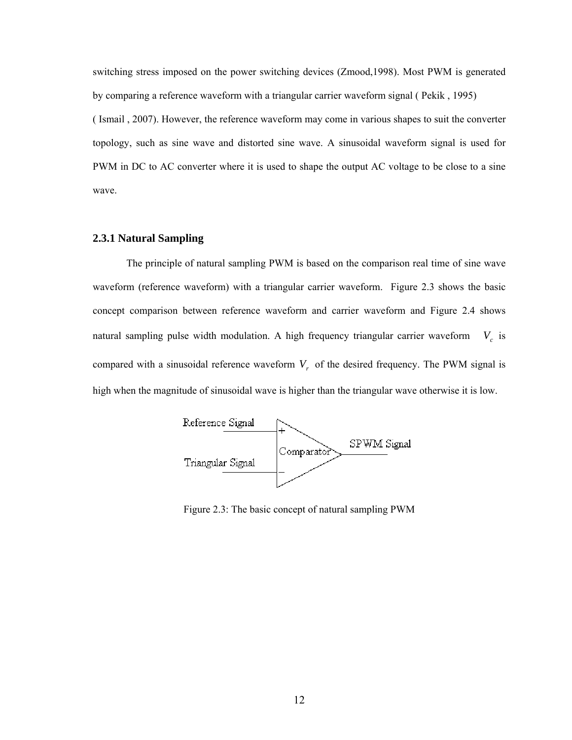switching stress imposed on the power switching devices (Zmood,1998). Most PWM is generated by comparing a reference waveform with a triangular carrier waveform signal ( Pekik , 1995) ( Ismail , 2007). However, the reference waveform may come in various shapes to suit the converter topology, such as sine wave and distorted sine wave. A sinusoidal waveform signal is used for PWM in DC to AC converter where it is used to shape the output AC voltage to be close to a sine wave.

#### **2.3.1 Natural Sampling**

The principle of natural sampling PWM is based on the comparison real time of sine wave waveform (reference waveform) with a triangular carrier waveform. Figure 2.3 shows the basic concept comparison between reference waveform and carrier waveform and Figure 2.4 shows natural sampling pulse width modulation. A high frequency triangular carrier waveform  $V_c$  is compared with a sinusoidal reference waveform  $V_r$  of the desired frequency. The PWM signal is high when the magnitude of sinusoidal wave is higher than the triangular wave otherwise it is low.



Figure 2.3: The basic concept of natural sampling PWM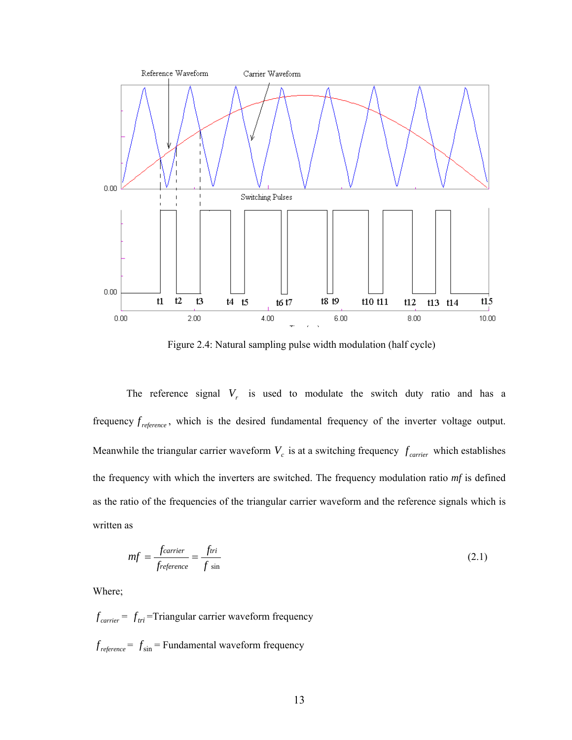

Figure 2.4: Natural sampling pulse width modulation (half cycle)

The reference signal  $V_r$  is used to modulate the switch duty ratio and has a frequency  $f_{reference}$ , which is the desired fundamental frequency of the inverter voltage output. Meanwhile the triangular carrier waveform  $V_c$  is at a switching frequency  $f_{\text{carrier}}$  which establishes the frequency with which the inverters are switched. The frequency modulation ratio *mf* is defined as the ratio of the frequencies of the triangular carrier waveform and the reference signals which is written as

$$
mf = \frac{f^{carrier}}{f_{reference}} = \frac{f^{tri}}{f \sin} \tag{2.1}
$$

Where;

 $f_{\text{carrier}} = f_{\text{tri}}$  =Triangular carrier waveform frequency

 $f_{reference} = f_{sin}$  = Fundamental waveform frequency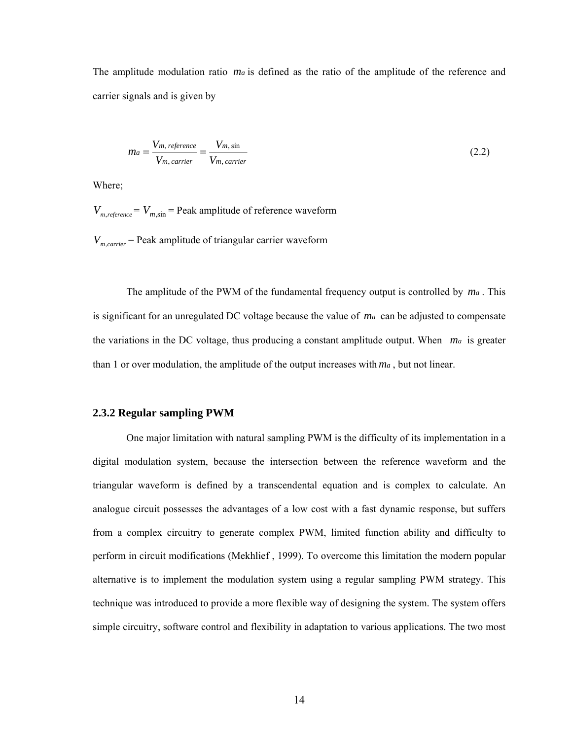The amplitude modulation ratio *ma* is defined as the ratio of the amplitude of the reference and carrier signals and is given by

$$
ma = \frac{V_{m, reference}}{V_{m, carrier}} = \frac{V_{m, sin}}{V_{m, carrier}}
$$
\n(2.2)

Where;

 $V_{m, reference} = V_{m, sin}$  = Peak amplitude of reference waveform

 $V_{mg\, center}$  = Peak amplitude of triangular carrier waveform

 The amplitude of the PWM of the fundamental frequency output is controlled by *ma* . This is significant for an unregulated DC voltage because the value of *ma* can be adjusted to compensate the variations in the DC voltage, thus producing a constant amplitude output. When *ma* is greater than 1 or over modulation, the amplitude of the output increases with *ma* , but not linear.

#### **2.3.2 Regular sampling PWM**

 One major limitation with natural sampling PWM is the difficulty of its implementation in a digital modulation system, because the intersection between the reference waveform and the triangular waveform is defined by a transcendental equation and is complex to calculate. An analogue circuit possesses the advantages of a low cost with a fast dynamic response, but suffers from a complex circuitry to generate complex PWM, limited function ability and difficulty to perform in circuit modifications (Mekhlief , 1999). To overcome this limitation the modern popular alternative is to implement the modulation system using a regular sampling PWM strategy. This technique was introduced to provide a more flexible way of designing the system. The system offers simple circuitry, software control and flexibility in adaptation to various applications. The two most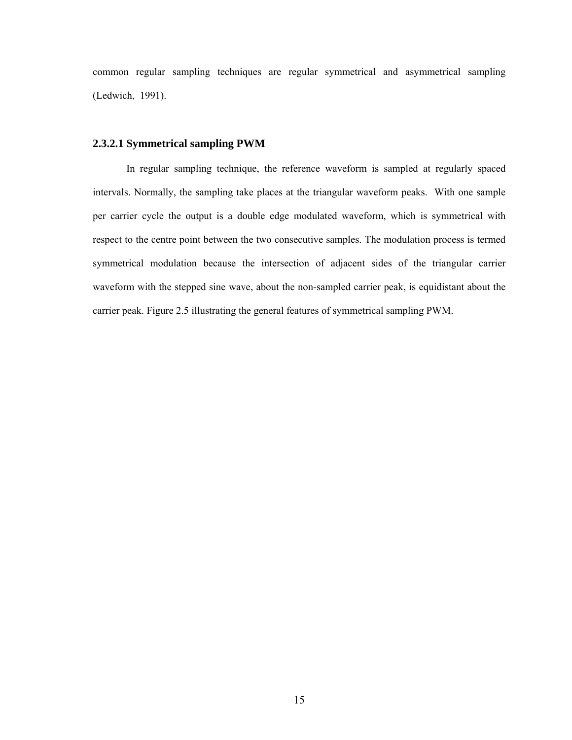common regular sampling techniques are regular symmetrical and asymmetrical sampling (Ledwich, 1991).

#### **2.3.2.1 Symmetrical sampling PWM**

 In regular sampling technique, the reference waveform is sampled at regularly spaced intervals. Normally, the sampling take places at the triangular waveform peaks. With one sample per carrier cycle the output is a double edge modulated waveform, which is symmetrical with respect to the centre point between the two consecutive samples. The modulation process is termed symmetrical modulation because the intersection of adjacent sides of the triangular carrier waveform with the stepped sine wave, about the non-sampled carrier peak, is equidistant about the carrier peak. Figure 2.5 illustrating the general features of symmetrical sampling PWM.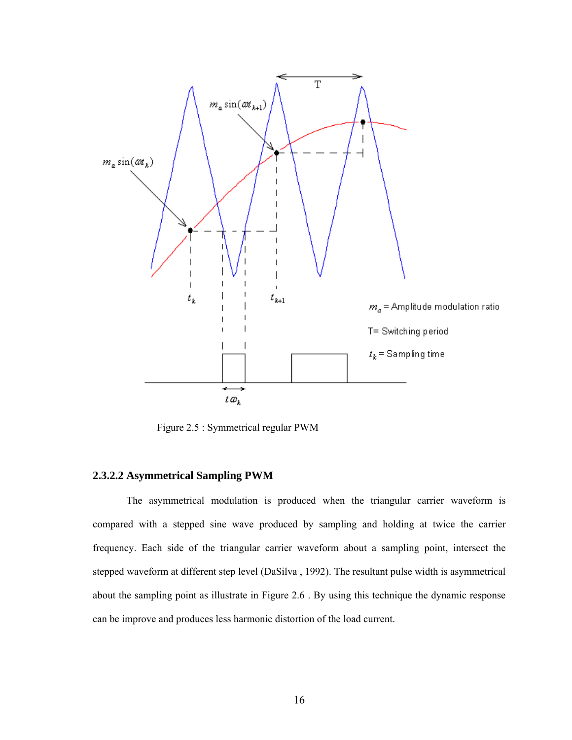

Figure 2.5 : Symmetrical regular PWM

### **2.3.2.2 Asymmetrical Sampling PWM**

The asymmetrical modulation is produced when the triangular carrier waveform is compared with a stepped sine wave produced by sampling and holding at twice the carrier frequency. Each side of the triangular carrier waveform about a sampling point, intersect the stepped waveform at different step level (DaSilva , 1992). The resultant pulse width is asymmetrical about the sampling point as illustrate in Figure 2.6 . By using this technique the dynamic response can be improve and produces less harmonic distortion of the load current.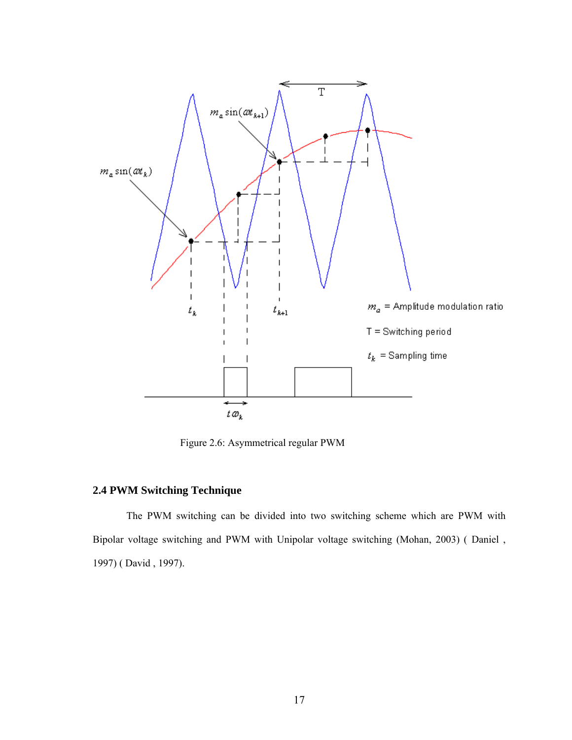

Figure 2.6: Asymmetrical regular PWM

## **2.4 PWM Switching Technique**

The PWM switching can be divided into two switching scheme which are PWM with Bipolar voltage switching and PWM with Unipolar voltage switching (Mohan, 2003) ( Daniel , 1997) ( David , 1997).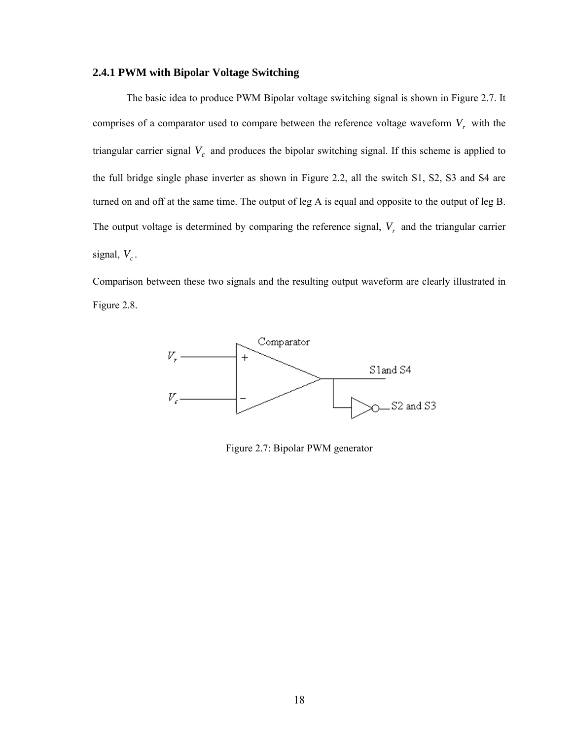#### **2.4.1 PWM with Bipolar Voltage Switching**

 The basic idea to produce PWM Bipolar voltage switching signal is shown in Figure 2.7. It comprises of a comparator used to compare between the reference voltage waveform  $V_r$ , with the triangular carrier signal  $V_c$  and produces the bipolar switching signal. If this scheme is applied to the full bridge single phase inverter as shown in Figure 2.2, all the switch S1, S2, S3 and S4 are turned on and off at the same time. The output of leg A is equal and opposite to the output of leg B. The output voltage is determined by comparing the reference signal,  $V_r$  and the triangular carrier signal,  $V_c$ .

Comparison between these two signals and the resulting output waveform are clearly illustrated in Figure 2.8.



Figure 2.7: Bipolar PWM generator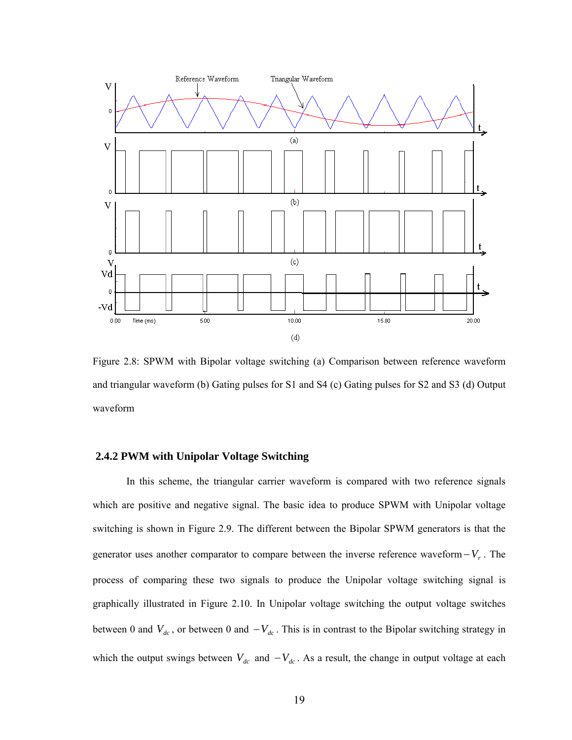

Figure 2.8: SPWM with Bipolar voltage switching (a) Comparison between reference waveform and triangular waveform (b) Gating pulses for S1 and S4 (c) Gating pulses for S2 and S3 (d) Output waveform

#### **2.4.2 PWM with Unipolar Voltage Switching**

 In this scheme, the triangular carrier waveform is compared with two reference signals which are positive and negative signal. The basic idea to produce SPWM with Unipolar voltage switching is shown in Figure 2.9. The different between the Bipolar SPWM generators is that the generator uses another comparator to compare between the inverse reference waveform −*Vr* . The process of comparing these two signals to produce the Unipolar voltage switching signal is graphically illustrated in Figure 2.10. In Unipolar voltage switching the output voltage switches between 0 and  $V_{dc}$ , or between 0 and  $-V_{dc}$ . This is in contrast to the Bipolar switching strategy in which the output swings between  $V_{dc}$  and  $-V_{dc}$ . As a result, the change in output voltage at each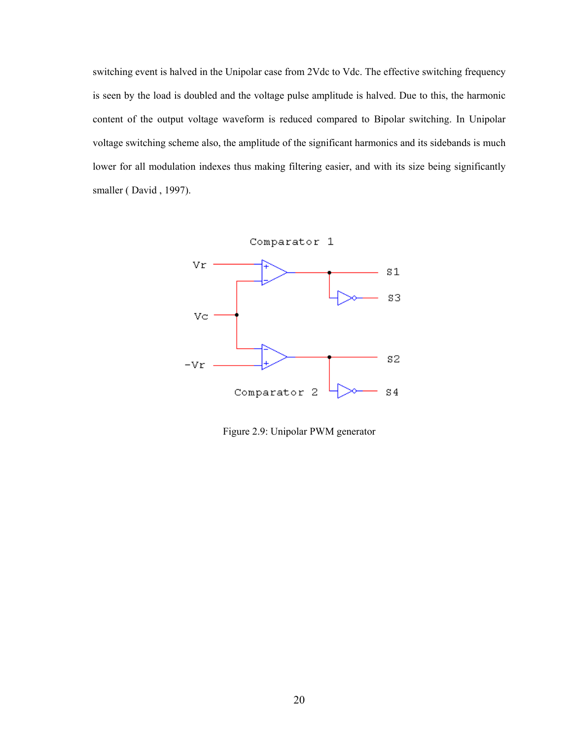switching event is halved in the Unipolar case from 2Vdc to Vdc. The effective switching frequency is seen by the load is doubled and the voltage pulse amplitude is halved. Due to this, the harmonic content of the output voltage waveform is reduced compared to Bipolar switching. In Unipolar voltage switching scheme also, the amplitude of the significant harmonics and its sidebands is much lower for all modulation indexes thus making filtering easier, and with its size being significantly smaller ( David , 1997).



Figure 2.9: Unipolar PWM generator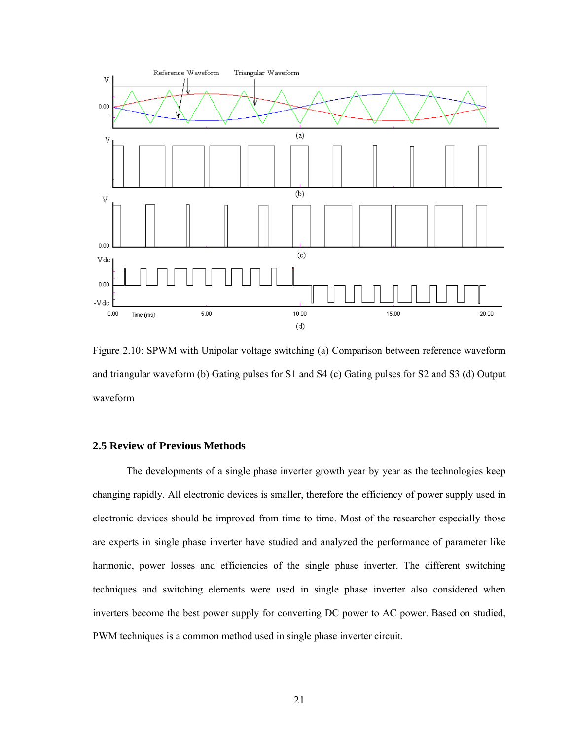

Figure 2.10: SPWM with Unipolar voltage switching (a) Comparison between reference waveform and triangular waveform (b) Gating pulses for S1 and S4 (c) Gating pulses for S2 and S3 (d) Output waveform

#### **2.5 Review of Previous Methods**

The developments of a single phase inverter growth year by year as the technologies keep changing rapidly. All electronic devices is smaller, therefore the efficiency of power supply used in electronic devices should be improved from time to time. Most of the researcher especially those are experts in single phase inverter have studied and analyzed the performance of parameter like harmonic, power losses and efficiencies of the single phase inverter. The different switching techniques and switching elements were used in single phase inverter also considered when inverters become the best power supply for converting DC power to AC power. Based on studied, PWM techniques is a common method used in single phase inverter circuit.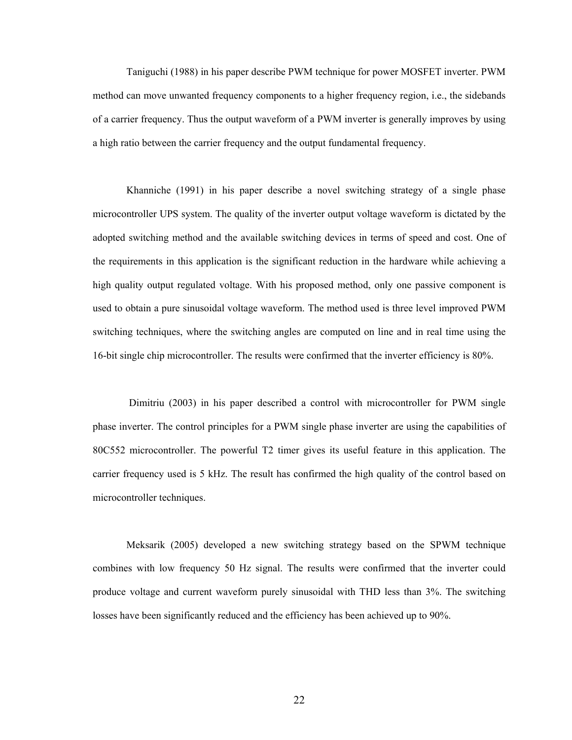Taniguchi (1988) in his paper describe PWM technique for power MOSFET inverter. PWM method can move unwanted frequency components to a higher frequency region, i.e., the sidebands of a carrier frequency. Thus the output waveform of a PWM inverter is generally improves by using a high ratio between the carrier frequency and the output fundamental frequency.

 Khanniche (1991) in his paper describe a novel switching strategy of a single phase microcontroller UPS system. The quality of the inverter output voltage waveform is dictated by the adopted switching method and the available switching devices in terms of speed and cost. One of the requirements in this application is the significant reduction in the hardware while achieving a high quality output regulated voltage. With his proposed method, only one passive component is used to obtain a pure sinusoidal voltage waveform. The method used is three level improved PWM switching techniques, where the switching angles are computed on line and in real time using the 16-bit single chip microcontroller. The results were confirmed that the inverter efficiency is 80%.

 Dimitriu (2003) in his paper described a control with microcontroller for PWM single phase inverter. The control principles for a PWM single phase inverter are using the capabilities of 80C552 microcontroller. The powerful T2 timer gives its useful feature in this application. The carrier frequency used is 5 kHz. The result has confirmed the high quality of the control based on microcontroller techniques.

 Meksarik (2005) developed a new switching strategy based on the SPWM technique combines with low frequency 50 Hz signal. The results were confirmed that the inverter could produce voltage and current waveform purely sinusoidal with THD less than 3%. The switching losses have been significantly reduced and the efficiency has been achieved up to 90%.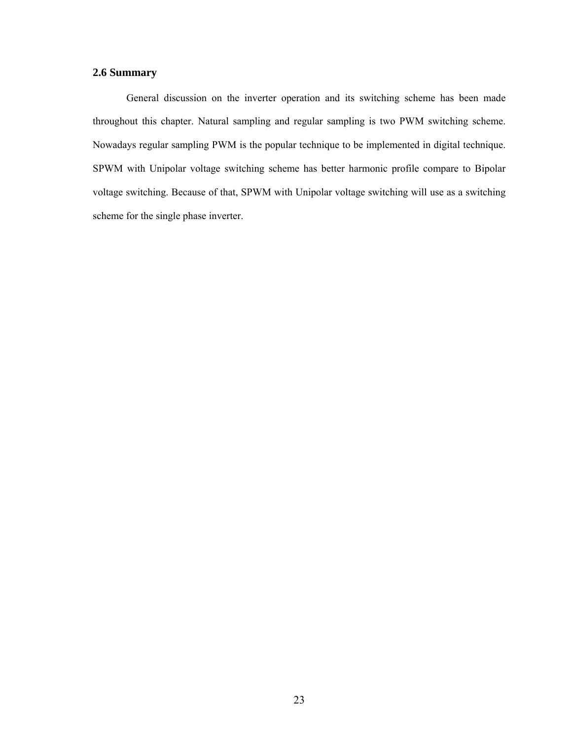#### **2.6 Summary**

 General discussion on the inverter operation and its switching scheme has been made throughout this chapter. Natural sampling and regular sampling is two PWM switching scheme. Nowadays regular sampling PWM is the popular technique to be implemented in digital technique. SPWM with Unipolar voltage switching scheme has better harmonic profile compare to Bipolar voltage switching. Because of that, SPWM with Unipolar voltage switching will use as a switching scheme for the single phase inverter.